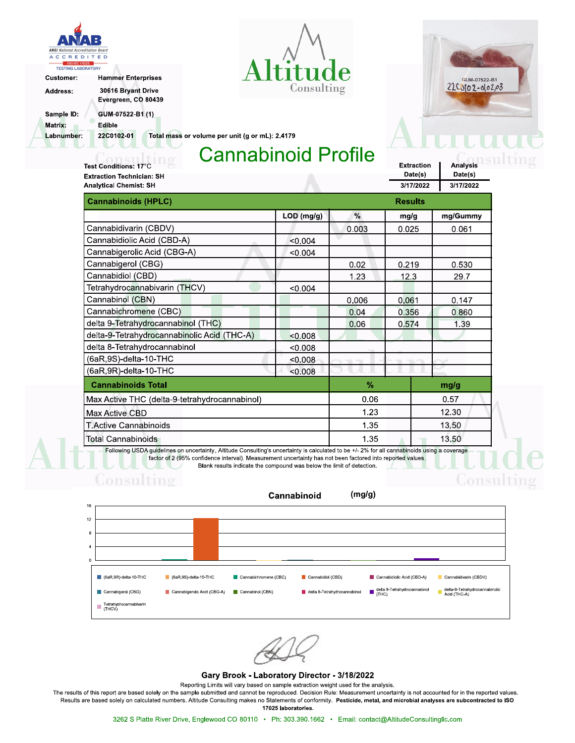





**Analysis** 

Date(s)

ions

Extraction

Date(s)

Address:

Customer:

Evergreen, CO 80439

Sample ID: Matrix:

Labnumber:

GUM-07522-B1 (1) Edible

22C0102-01

Total mass or volume per unit (g or mL): 2.4179

# **Cannabinoid Profile**

Test Conditions: 17°C **Extraction Technician: SH Analytical Chemist: SH** 

**Hammer Enterprises** 

30616 Bryant Drive

| <b>Analytical Chemist: SH</b>                                                                                                                |                |       | 3/17/2022 | 3/17/2022 |
|----------------------------------------------------------------------------------------------------------------------------------------------|----------------|-------|-----------|-----------|
| <b>Cannabinoids (HPLC)</b>                                                                                                                   | <b>Results</b> |       |           |           |
|                                                                                                                                              | $LOD$ (mg/g)   | $\%$  | mg/g      | mg/Gummy  |
| Cannabidivarin (CBDV)                                                                                                                        |                | 0.003 | 0.025     | 0.061     |
| Cannabidiolic Acid (CBD-A)                                                                                                                   | < 0.004        |       |           |           |
| Cannabigerolic Acid (CBG-A)                                                                                                                  | < 0.004        |       |           |           |
| Cannabigerol (CBG)                                                                                                                           |                | 0.02  | 0.219     | 0.530     |
| Cannabidiol (CBD)                                                                                                                            |                | 1 2 3 | 12.3      | 297       |
| Tetrahydrocannabivarin (THCV)                                                                                                                | < 0.004        |       |           |           |
| Cannabinol (CBN)                                                                                                                             |                | 0.006 | 0.061     | 0.147     |
| Cannabichromene (CBC)                                                                                                                        |                | 0.04  | 0.356     | 0.860     |
| delta 9-Tetrahydrocannabinol (THC)                                                                                                           |                | 0.06  | 0.574     | 1.39      |
| delta-9-Tetrahydrocannabinolic Acid (THC-A)                                                                                                  | < 0.008        |       |           |           |
| delta 8-Tetrahydrocannabinol                                                                                                                 | < 0.008        |       |           |           |
| (6aR,9S)-delta-10-THC                                                                                                                        | < 0.008        |       |           |           |
| (6aR,9R)-delta-10-THC                                                                                                                        | < 0.008        |       |           |           |
| <b>Cannabinoids Total</b>                                                                                                                    |                | %     |           | mg/g      |
| Max Active THC (delta-9-tetrahydrocannabinol)                                                                                                |                | 0.06  |           | 0.57      |
| Max Active CBD                                                                                                                               |                | 1.23  |           | 12.30     |
| T Active Cannabinoids                                                                                                                        |                | 1.35  |           | 13.50     |
| Total Cannabinoids                                                                                                                           |                | 1.35  |           | 13.50     |
| Following USDA guidelines on uncertainty, Altitude Consulting's uncertainty is calculated to be +/- 2% for all cannabinoids using a coverage |                |       |           |           |

factor of 2 (95% confidence interval). Measurement uncertainty has not been factored into reported values. Blank results indicate the compound was below the limit of detection.

#### $(mg/g)$ Cannabinoid



#### Gary Brook - Laboratory Director - 3/18/2022

Reporting Limits will vary based on sample extraction weight used for the analysis.

The results of this report are based solely on the sample submitted and cannot be reproduced. Decision Rule: Measurement uncertainty is not accounted for in the reported values. Results are based solely on calculated numbers. Altitude Consulting makes no Statements of conformity. Pesticide, metal, and microbial analyses are subcontracted to ISO 17025 laboratories.